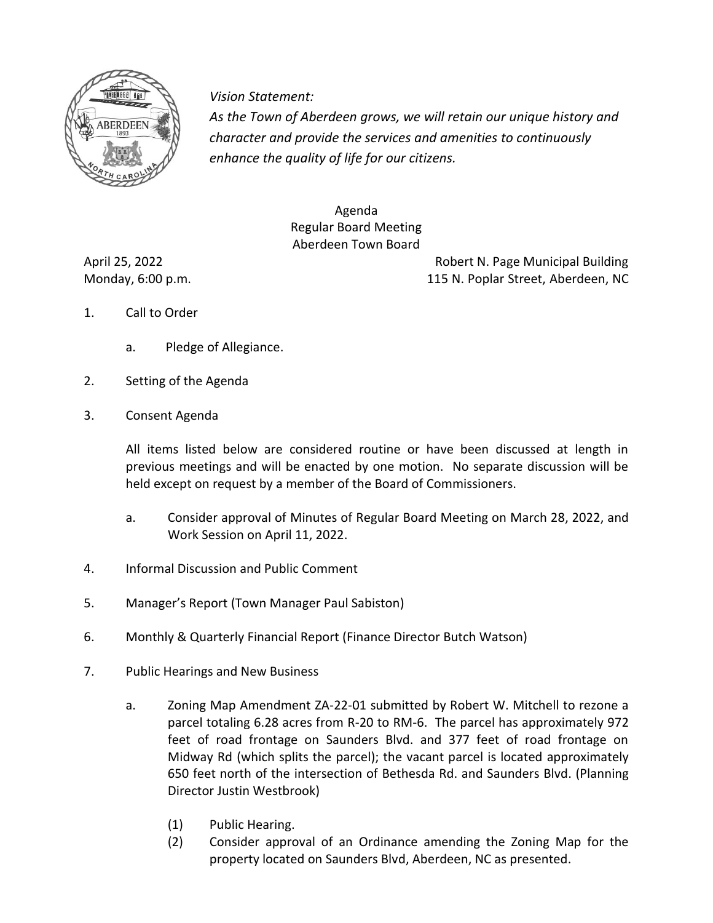

*Vision Statement Vision Statement:*

*As the Town of Aberdeen grows, we will retain our unique history and character and provide the services and amenities to continuously enhance the quality of life for our citizens.* 

> Agenda Regular Board Meeting Aberdeen Town Board

April 25, 2022 Robert N. Page Municipal Building Monday, 6:00 p.m. 115 N. Poplar Street, Aberdeen, NC

- 1. Call to Order
	- a. Pledge of Allegiance.
- 2. Setting of the Agenda
- 3. Consent Agenda

All items listed below are considered routine or have been discussed at length in previous meetings and will be enacted by one motion. No separate discussion will be held except on request by a member of the Board of Commissioners.

- a. Consider approval of Minutes of Regular Board Meeting on March 28, 2022, and Work Session on April 11, 2022.
- 4. Informal Discussion and Public Comment
- 5. Manager's Report (Town Manager Paul Sabiston)
- 6. Monthly & Quarterly Financial Report (Finance Director Butch Watson)
- 7. Public Hearings and New Business
	- a. Zoning Map Amendment ZA-22-01 submitted by Robert W. Mitchell to rezone a parcel totaling 6.28 acres from R-20 to RM-6. The parcel has approximately 972 feet of road frontage on Saunders Blvd. and 377 feet of road frontage on Midway Rd (which splits the parcel); the vacant parcel is located approximately 650 feet north of the intersection of Bethesda Rd. and Saunders Blvd. (Planning Director Justin Westbrook)
		- (1) Public Hearing.
		- (2) Consider approval of an Ordinance amending the Zoning Map for the property located on Saunders Blvd, Aberdeen, NC as presented.